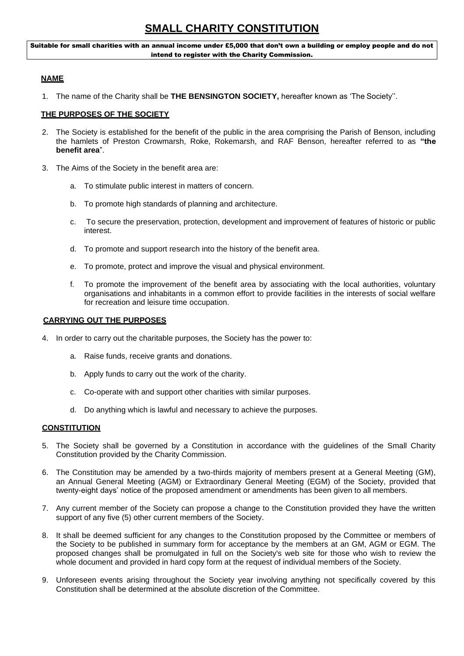Suitable for small charities with an annual income under £5,000 that don't own a building or employ people and do not intend to register with the Charity Commission.

## **NAME**

1. The name of the Charity shall be **THE BENSINGTON SOCIETY,** hereafter known as 'The Society''.

## **THE PURPOSES OF THE SOCIETY**

- 2. The Society is established for the benefit of the public in the area comprising the Parish of Benson, including the hamlets of Preston Crowmarsh, Roke, Rokemarsh, and RAF Benson, hereafter referred to as **"the benefit area**".
- 3. The Aims of the Society in the benefit area are:
	- a. To stimulate public interest in matters of concern.
	- b. To promote high standards of planning and architecture.
	- c. To secure the preservation, protection, development and improvement of features of historic or public interest.
	- d. To promote and support research into the history of the benefit area.
	- e. To promote, protect and improve the visual and physical environment.
	- f. To promote the improvement of the benefit area by associating with the local authorities, voluntary organisations and inhabitants in a common effort to provide facilities in the interests of social welfare for recreation and leisure time occupation.

## **CARRYING OUT THE PURPOSES**

- 4. In order to carry out the charitable purposes, the Society has the power to:
	- a. Raise funds, receive grants and donations.
	- b. Apply funds to carry out the work of the charity.
	- c. Co-operate with and support other charities with similar purposes.
	- d. Do anything which is lawful and necessary to achieve the purposes.

# **CONSTITUTION**

- 5. The Society shall be governed by a Constitution in accordance with the guidelines of the Small Charity Constitution provided by the Charity Commission.
- 6. The Constitution may be amended by a two-thirds majority of members present at a General Meeting (GM), an Annual General Meeting (AGM) or Extraordinary General Meeting (EGM) of the Society, provided that twenty-eight days' notice of the proposed amendment or amendments has been given to all members.
- 7. Any current member of the Society can propose a change to the Constitution provided they have the written support of any five (5) other current members of the Society.
- 8. It shall be deemed sufficient for any changes to the Constitution proposed by the Committee or members of the Society to be published in summary form for acceptance by the members at an GM, AGM or EGM. The proposed changes shall be promulgated in full on the Society's web site for those who wish to review the whole document and provided in hard copy form at the request of individual members of the Society.
- 9. Unforeseen events arising throughout the Society year involving anything not specifically covered by this Constitution shall be determined at the absolute discretion of the Committee.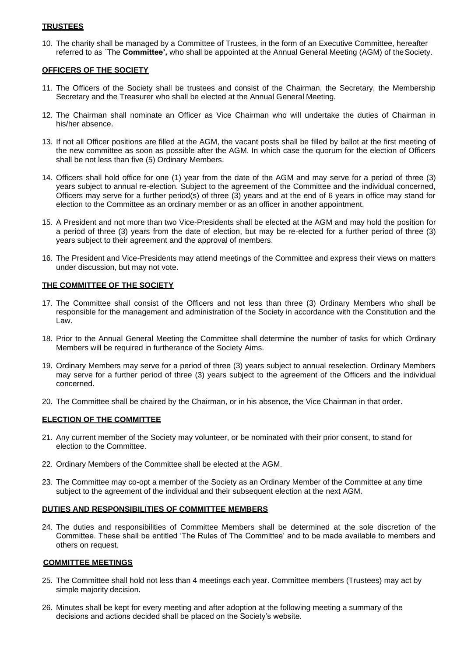### **TRUSTEES**

10. The charity shall be managed by a Committee of Trustees, in the form of an Executive Committee, hereafter referred to as `The **Committee',** who shall be appointed at the Annual General Meeting (AGM) of theSociety.

## **OFFICERS OF THE SOCIETY**

- 11. The Officers of the Society shall be trustees and consist of the Chairman, the Secretary, the Membership Secretary and the Treasurer who shall be elected at the Annual General Meeting.
- 12. The Chairman shall nominate an Officer as Vice Chairman who will undertake the duties of Chairman in his/her absence.
- 13. If not all Officer positions are filled at the AGM, the vacant posts shall be filled by ballot at the first meeting of the new committee as soon as possible after the AGM. In which case the quorum for the election of Officers shall be not less than five (5) Ordinary Members.
- 14. Officers shall hold office for one (1) year from the date of the AGM and may serve for a period of three (3) years subject to annual re-election. Subject to the agreement of the Committee and the individual concerned, Officers may serve for a further period(s) of three (3) years and at the end of 6 years in office may stand for election to the Committee as an ordinary member or as an officer in another appointment.
- 15. A President and not more than two Vice-Presidents shall be elected at the AGM and may hold the position for a period of three (3) years from the date of election, but may be re-elected for a further period of three (3) years subject to their agreement and the approval of members.
- 16. The President and Vice-Presidents may attend meetings of the Committee and express their views on matters under discussion, but may not vote.

## **THE COMMITTEE OF THE SOCIETY**

- 17. The Committee shall consist of the Officers and not less than three (3) Ordinary Members who shall be responsible for the management and administration of the Society in accordance with the Constitution and the Law.
- 18. Prior to the Annual General Meeting the Committee shall determine the number of tasks for which Ordinary Members will be required in furtherance of the Society Aims.
- 19. Ordinary Members may serve for a period of three (3) years subject to annual reselection. Ordinary Members may serve for a further period of three (3) years subject to the agreement of the Officers and the individual concerned.
- 20. The Committee shall be chaired by the Chairman, or in his absence, the Vice Chairman in that order.

### **ELECTION OF THE COMMITTEE**

- 21. Any current member of the Society may volunteer, or be nominated with their prior consent, to stand for election to the Committee.
- 22. Ordinary Members of the Committee shall be elected at the AGM.
- 23. The Committee may co-opt a member of the Society as an Ordinary Member of the Committee at any time subject to the agreement of the individual and their subsequent election at the next AGM.

### **DUTIES AND RESPONSIBILITIES OF COMMITTEE MEMBERS**

24. The duties and responsibilities of Committee Members shall be determined at the sole discretion of the Committee. These shall be entitled 'The Rules of The Committee' and to be made available to members and others on request.

### **COMMITTEE MEETINGS**

- 25. The Committee shall hold not less than 4 meetings each year. Committee members (Trustees) may act by simple majority decision.
- 26. Minutes shall be kept for every meeting and after adoption at the following meeting a summary of the decisions and actions decided shall be placed on the Society's website.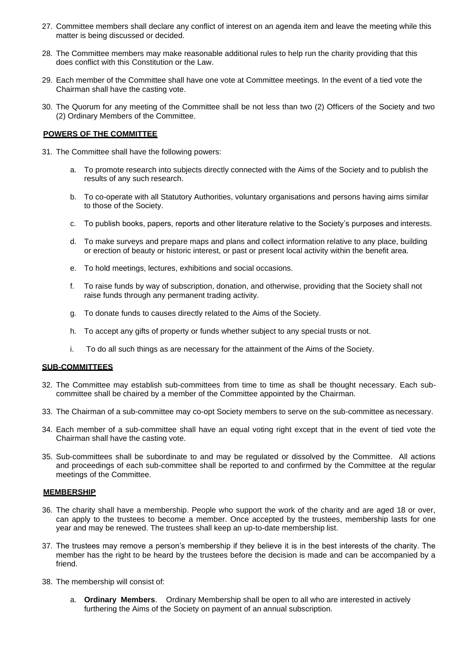- 27. Committee members shall declare any conflict of interest on an agenda item and leave the meeting while this matter is being discussed or decided.
- 28. The Committee members may make reasonable additional rules to help run the charity providing that this does conflict with this Constitution or the Law.
- 29. Each member of the Committee shall have one vote at Committee meetings. In the event of a tied vote the Chairman shall have the casting vote.
- 30. The Quorum for any meeting of the Committee shall be not less than two (2) Officers of the Society and two (2) Ordinary Members of the Committee.

## **POWERS OF THE COMMITTEE**

- 31. The Committee shall have the following powers:
	- a. To promote research into subjects directly connected with the Aims of the Society and to publish the results of any such research.
	- b. To co-operate with all Statutory Authorities, voluntary organisations and persons having aims similar to those of the Society.
	- c. To publish books, papers, reports and other literature relative to the Society's purposes and interests.
	- d. To make surveys and prepare maps and plans and collect information relative to any place, building or erection of beauty or historic interest, or past or present local activity within the benefit area.
	- e. To hold meetings, lectures, exhibitions and social occasions.
	- f. To raise funds by way of subscription, donation, and otherwise, providing that the Society shall not raise funds through any permanent trading activity.
	- g. To donate funds to causes directly related to the Aims of the Society.
	- h. To accept any gifts of property or funds whether subject to any special trusts or not.
	- i. To do all such things as are necessary for the attainment of the Aims of the Society.

## **SUB-COMMITTEES**

- 32. The Committee may establish sub-committees from time to time as shall be thought necessary. Each subcommittee shall be chaired by a member of the Committee appointed by the Chairman.
- 33. The Chairman of a sub-committee may co-opt Society members to serve on the sub-committee as necessary.
- 34. Each member of a sub-committee shall have an equal voting right except that in the event of tied vote the Chairman shall have the casting vote.
- 35. Sub-committees shall be subordinate to and may be regulated or dissolved by the Committee. All actions and proceedings of each sub-committee shall be reported to and confirmed by the Committee at the regular meetings of the Committee.

### **MEMBERSHIP**

- 36. The charity shall have a membership. People who support the work of the charity and are aged 18 or over, can apply to the trustees to become a member. Once accepted by the trustees, membership lasts for one year and may be renewed. The trustees shall keep an up-to-date membership list.
- 37. The trustees may remove a person's membership if they believe it is in the best interests of the charity. The member has the right to be heard by the trustees before the decision is made and can be accompanied by a friend.
- 38. The membership will consist of:
	- a. **Ordinary Members**. Ordinary Membership shall be open to all who are interested in actively furthering the Aims of the Society on payment of an annual subscription.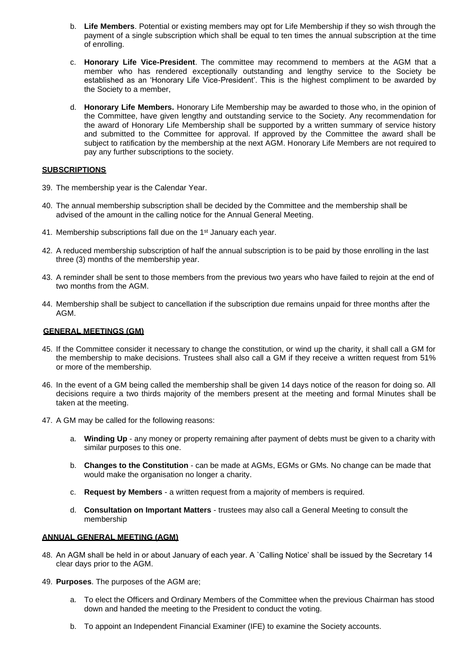- b. **Life Members**. Potential or existing members may opt for Life Membership if they so wish through the payment of a single subscription which shall be equal to ten times the annual subscription at the time of enrolling.
- c. **Honorary Life Vice-President**. The committee may recommend to members at the AGM that a member who has rendered exceptionally outstanding and lengthy service to the Society be established as an 'Honorary Life Vice-President'. This is the highest compliment to be awarded by the Society to a member,
- d. **Honorary Life Members.** Honorary Life Membership may be awarded to those who, in the opinion of the Committee, have given lengthy and outstanding service to the Society. Any recommendation for the award of Honorary Life Membership shall be supported by a written summary of service history and submitted to the Committee for approval. If approved by the Committee the award shall be subject to ratification by the membership at the next AGM. Honorary Life Members are not required to pay any further subscriptions to the society.

## **SUBSCRIPTIONS**

- 39. The membership year is the Calendar Year.
- 40. The annual membership subscription shall be decided by the Committee and the membership shall be advised of the amount in the calling notice for the Annual General Meeting.
- 41. Membership subscriptions fall due on the 1<sup>st</sup> January each year.
- 42. A reduced membership subscription of half the annual subscription is to be paid by those enrolling in the last three (3) months of the membership year.
- 43. A reminder shall be sent to those members from the previous two years who have failed to rejoin at the end of two months from the AGM.
- 44. Membership shall be subject to cancellation if the subscription due remains unpaid for three months after the AGM.

## **GENERAL MEETINGS (GM)**

- 45. If the Committee consider it necessary to change the constitution, or wind up the charity, it shall call a GM for the membership to make decisions. Trustees shall also call a GM if they receive a written request from 51% or more of the membership.
- 46. In the event of a GM being called the membership shall be given 14 days notice of the reason for doing so. All decisions require a two thirds majority of the members present at the meeting and formal Minutes shall be taken at the meeting.
- 47. A GM may be called for the following reasons:
	- a. **Winding Up**  any money or property remaining after payment of debts must be given to a charity with similar purposes to this one.
	- b. **Changes to the Constitution**  can be made at AGMs, EGMs or GMs. No change can be made that would make the organisation no longer a charity.
	- c. **Request by Members**  a written request from a majority of members is required.
	- d. **Consultation on Important Matters**  trustees may also call a General Meeting to consult the membership

## **ANNUAL GENERAL MEETING (AGM)**

- 48. An AGM shall be held in or about January of each year. A `Calling Notice' shall be issued by the Secretary 14 clear days prior to the AGM.
- 49. **Purposes**. The purposes of the AGM are;
	- a. To elect the Officers and Ordinary Members of the Committee when the previous Chairman has stood down and handed the meeting to the President to conduct the voting.
	- b. To appoint an Independent Financial Examiner (IFE) to examine the Society accounts.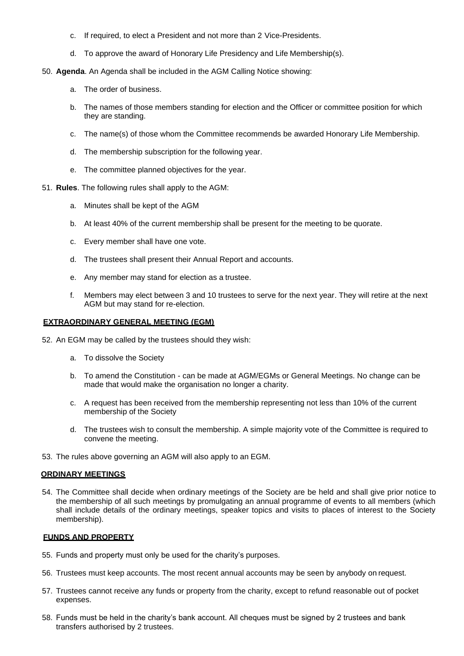- c. If required, to elect a President and not more than 2 Vice-Presidents.
- d. To approve the award of Honorary Life Presidency and Life Membership(s).
- 50. **Agenda**. An Agenda shall be included in the AGM Calling Notice showing:
	- a. The order of business.
	- b. The names of those members standing for election and the Officer or committee position for which they are standing.
	- c. The name(s) of those whom the Committee recommends be awarded Honorary Life Membership.
	- d. The membership subscription for the following year.
	- e. The committee planned objectives for the year.
- 51. **Rules**. The following rules shall apply to the AGM:
	- a. Minutes shall be kept of the AGM
	- b. At least 40% of the current membership shall be present for the meeting to be quorate.
	- c. Every member shall have one vote.
	- d. The trustees shall present their Annual Report and accounts.
	- e. Any member may stand for election as a trustee.
	- f. Members may elect between 3 and 10 trustees to serve for the next year. They will retire at the next AGM but may stand for re-election.

## **EXTRAORDINARY GENERAL MEETING (EGM)**

- 52. An EGM may be called by the trustees should they wish:
	- a. To dissolve the Society
	- b. To amend the Constitution can be made at AGM/EGMs or General Meetings. No change can be made that would make the organisation no longer a charity.
	- c. A request has been received from the membership representing not less than 10% of the current membership of the Society
	- d. The trustees wish to consult the membership. A simple majority vote of the Committee is required to convene the meeting.
- 53. The rules above governing an AGM will also apply to an EGM.

### **ORDINARY MEETINGS**

54. The Committee shall decide when ordinary meetings of the Society are be held and shall give prior notice to the membership of all such meetings by promulgating an annual programme of events to all members (which shall include details of the ordinary meetings, speaker topics and visits to places of interest to the Society membership).

### **FUNDS AND PROPERTY**

- 55. Funds and property must only be used for the charity's purposes.
- 56. Trustees must keep accounts. The most recent annual accounts may be seen by anybody on request.
- 57. Trustees cannot receive any funds or property from the charity, except to refund reasonable out of pocket expenses.
- 58. Funds must be held in the charity's bank account. All cheques must be signed by 2 trustees and bank transfers authorised by 2 trustees.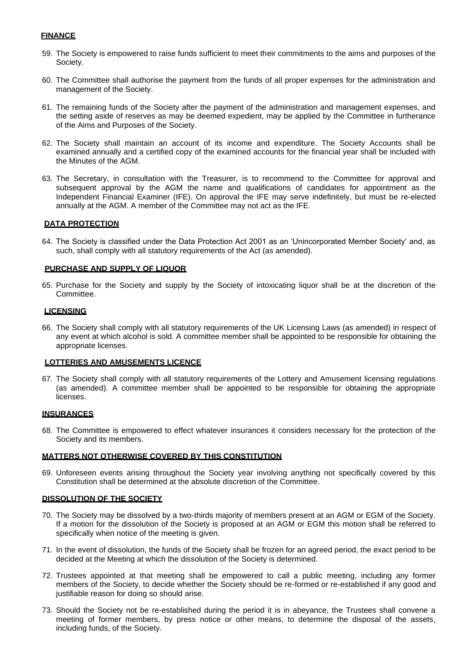## **FINANCE**

- 59. The Society is empowered to raise funds sufficient to meet their commitments to the aims and purposes of the Society.
- 60. The Committee shall authorise the payment from the funds of all proper expenses for the administration and management of the Society.
- 61. The remaining funds of the Society after the payment of the administration and management expenses, and the setting aside of reserves as may be deemed expedient, may be applied by the Committee in furtherance of the Aims and Purposes of the Society.
- 62. The Society shall maintain an account of its income and expenditure. The Society Accounts shall be examined annually and a certified copy of the examined accounts for the financial year shall be included with the Minutes of the AGM.
- 63. The Secretary, in consultation with the Treasurer, is to recommend to the Committee for approval and subsequent approval by the AGM the name and qualifications of candidates for appointment as the Independent Financial Examiner (IFE). On approval the IFE may serve indefinitely, but must be re-elected annually at the AGM. A member of the Committee may not act as the IFE.

## **DATA PROTECTION**

64. The Society is classified under the Data Protection Act 2001 as an 'Unincorporated Member Society' and, as such, shall comply with all statutory requirements of the Act (as amended).

### **PURCHASE AND SUPPLY OF LIQUOR**

65. Purchase for the Society and supply by the Society of intoxicating liquor shall be at the discretion of the Committee.

## **LICENSING**

66. The Society shall comply with all statutory requirements of the UK Licensing Laws (as amended) in respect of any event at which alcohol is sold. A committee member shall be appointed to be responsible for obtaining the appropriate licenses.

### **LOTTERIES AND AMUSEMENTS LICENCE**

67. The Society shall comply with all statutory requirements of the Lottery and Amusement licensing regulations (as amended). A committee member shall be appointed to be responsible for obtaining the appropriate licenses.

### **INSURANCES**

68. The Committee is empowered to effect whatever insurances it considers necessary for the protection of the Society and its members.

### **MATTERS NOT OTHERWISE COVERED BY THIS CONSTITUTION**

69. Unforeseen events arising throughout the Society year involving anything not specifically covered by this Constitution shall be determined at the absolute discretion of the Committee.

### **DISSOLUTION OF THE SOCIETY**

- 70. The Society may be dissolved by a two-thirds majority of members present at an AGM or EGM of the Society. If a motion for the dissolution of the Society is proposed at an AGM or EGM this motion shall be referred to specifically when notice of the meeting is given.
- 71. In the event of dissolution, the funds of the Society shall be frozen for an agreed period, the exact period to be decided at the Meeting at which the dissolution of the Society is determined.
- 72. Trustees appointed at that meeting shall be empowered to call a public meeting, including any former members of the Society, to decide whether the Society should be re-formed or re-established if any good and justifiable reason for doing so should arise.
- 73. Should the Society not be re-established during the period it is in abeyance, the Trustees shall convene a meeting of former members, by press notice or other means, to determine the disposal of the assets, including funds, of the Society.